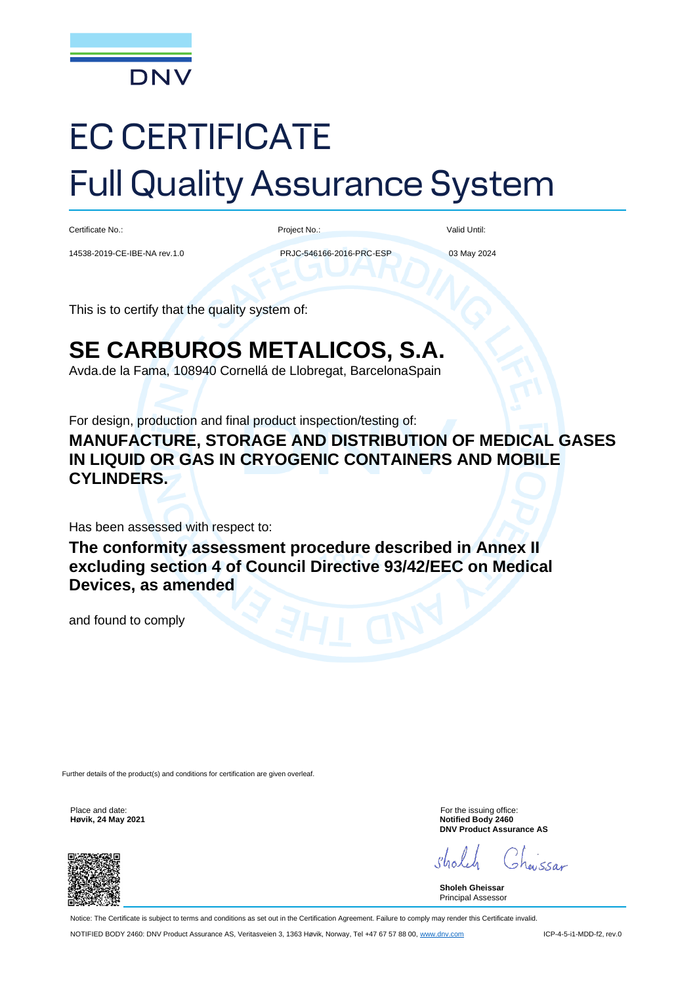

# EC CERTIFICATE Full Quality Assurance System

Certificate No.:

Project No.:

Valid Until:

14538-2019-CE-IBE-NA rev.1.0

PRJC-546166-2016-PRC-ESP

03 May 2024

This is to certify that the quality system of:

# **SE CARBUROS METALICOS, S.A.**

Avda.de la Fama, 108940 Cornellá de Llobregat, BarcelonaSpain

For design, production and final product inspection/testing of:

**MANUFACTURE, STORAGE AND DISTRIBUTION OF MEDICAL GASES IN LIQUID OR GAS IN CRYOGENIC CONTAINERS AND MOBILE CYLINDERS.**

Has been assessed with respect to:

**The conformity assessment procedure described in Annex II excluding section 4 of Council Directive 93/42/EEC on Medical Devices, as amended** 

and found to comply

Further details of the product(s) and conditions for certification are given overleaf

**Høvik, 24 May 2021** 



Place and date: For the issuing office:<br> **Hevik. 24 May 2021 For the issuing office:** For the issuing office: **DNV Product Assurance AS**

 $uSSA$ 

**Sholeh Gheissar** Principal Assessor

Notice: The Certificate is subject to terms and conditions as set out in the Certification Agreement. Failure to comply may render this Certificate invalid. NOTIFIED BODY 2460: DNV Product Assurance AS, Veritasveien 3, 1363 Høvik, Norway, Tel +47 67 57 88 00[, www.dnv.com](http://www.dnv.com/) ICP-4-5-i1-MDD-f2, rev.0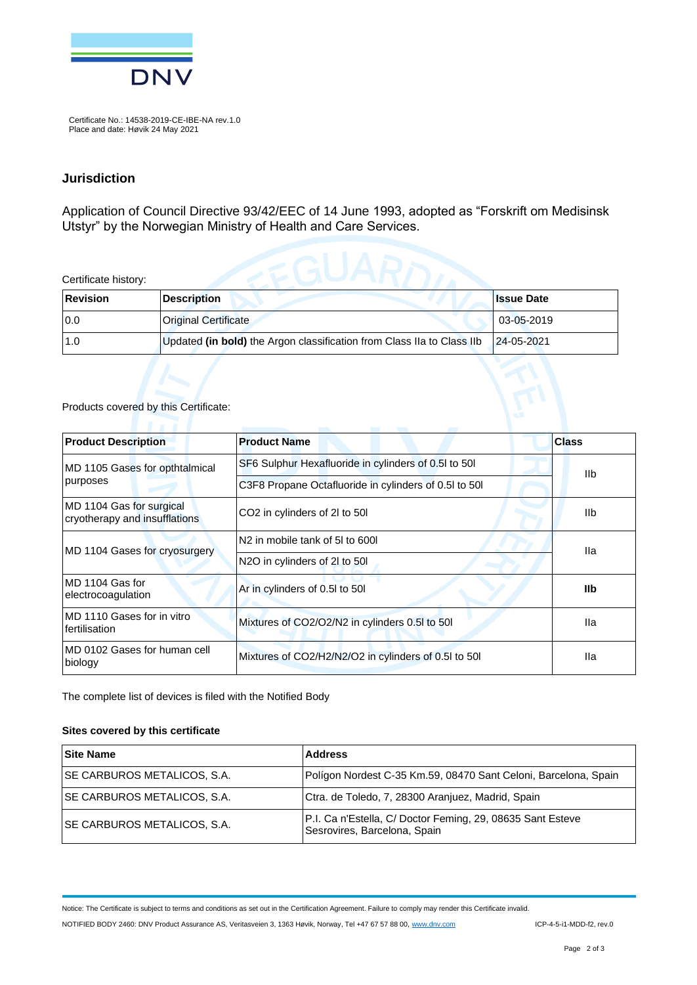

Certificate No.: 14538-2019-CE-IBE-NA rev.1.0 Place and date: Høvik 24 May 2021

#### **Jurisdiction**

Application of Council Directive 93/42/EEC of 14 June 1993, adopted as "Forskrift om Medisinsk Utstyr" by the Norwegian Ministry of Health and Care Services.

Certificate history:

| Revision | <b>Description</b>                                                     | <b>Issue Date</b> |
|----------|------------------------------------------------------------------------|-------------------|
| 10.0     | <b>Original Certificate</b>                                            | 03-05-2019        |
| 1.0      | Updated (in bold) the Argon classification from Class IIa to Class IIb | 24-05-2021        |

#### Products covered by this Certificate:

| <b>Product Description</b>                                | <b>Product Name</b>                                  | <b>Class</b> |
|-----------------------------------------------------------|------------------------------------------------------|--------------|
| MD 1105 Gases for opthtalmical                            | SF6 Sulphur Hexafluoride in cylinders of 0.5l to 50l | <b>IIb</b>   |
| purposes                                                  | C3F8 Propane Octafluoride in cylinders of 0.5 to 50  |              |
| MD 1104 Gas for surgical<br>cryotherapy and insufflations | CO <sub>2</sub> in cylinders of 2l to 50l            | <b>IIb</b>   |
| MD 1104 Gases for cryosurgery                             | N <sub>2</sub> in mobile tank of 5l to 600l          | lla.         |
|                                                           | N2O in cylinders of 2l to 50l                        |              |
| MD 1104 Gas for<br>electrocoagulation                     | Ar in cylinders of 0.5l to 50l                       | <b>IIb</b>   |
| MD 1110 Gases for in vitro<br>fertilisation               | Mixtures of CO2/O2/N2 in cylinders 0.5l to 50l       | lla          |
| MD 0102 Gases for human cell<br>biology                   | Mixtures of CO2/H2/N2/O2 in cylinders of 0.5 to 50   | lla          |

The complete list of devices is filed with the Notified Body

#### **Sites covered by this certificate**

| <b>Site Name</b>                    | <b>Address</b>                                                                             |
|-------------------------------------|--------------------------------------------------------------------------------------------|
| <b>ISE CARBUROS METALICOS, S.A.</b> | Polígon Nordest C-35 Km.59, 08470 Sant Celoni, Barcelona, Spain                            |
| <b>ISE CARBUROS METALICOS, S.A.</b> | Ctra. de Toledo, 7, 28300 Aranjuez, Madrid, Spain                                          |
| <b>SE CARBUROS METALICOS, S.A.</b>  | P.I. Ca n'Estella, C/ Doctor Feming, 29, 08635 Sant Esteve<br>Sesrovires, Barcelona, Spain |

Notice: The Certificate is subject to terms and conditions as set out in the Certification Agreement. Failure to comply may render this Certificate invalid.

NOTIFIED BODY 2460: DNV Product Assurance AS, Veritasveien 3, 1363 Høvik, Norway, Tel +47 67 57 88 00[, www.dnv.com](http://www.dnv.com/) ICP-4-5-i1-MDD-f2, rev.0